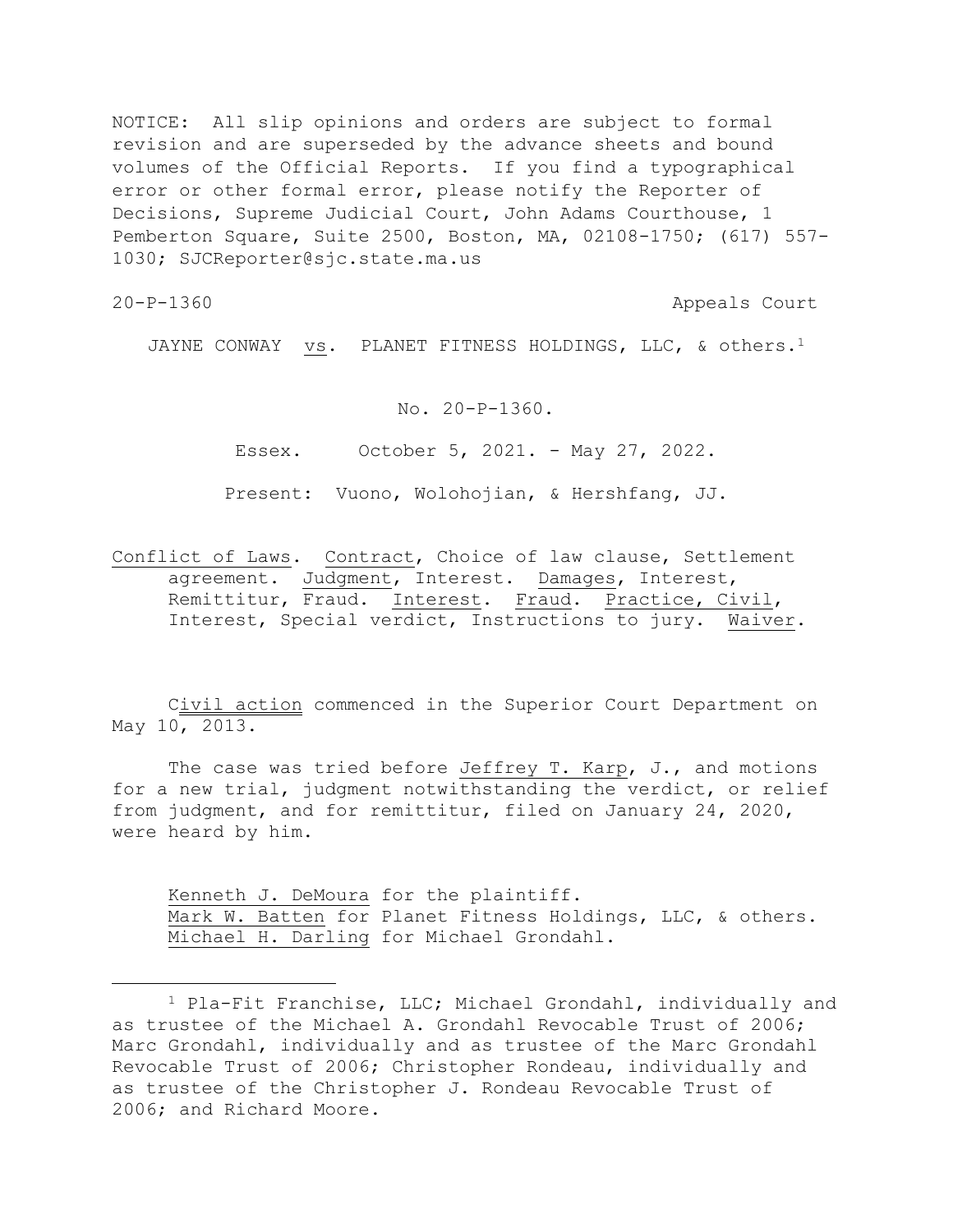NOTICE: All slip opinions and orders are subject to formal revision and are superseded by the advance sheets and bound volumes of the Official Reports. If you find a typographical error or other formal error, please notify the Reporter of Decisions, Supreme Judicial Court, John Adams Courthouse, 1 Pemberton Square, Suite 2500, Boston, MA, 02108-1750; (617) 557- 1030; SJCReporter@sjc.state.ma.us

20-P-1360 Appeals Court

JAYNE CONWAY vs. PLANET FITNESS HOLDINGS, LLC, & others.<sup>1</sup>

No. 20-P-1360.

Essex. October 5, 2021. - May 27, 2022.

Present: Vuono, Wolohojian, & Hershfang, JJ.

Conflict of Laws. Contract, Choice of law clause, Settlement agreement. Judgment, Interest. Damages, Interest, Remittitur, Fraud. Interest. Fraud. Practice, Civil, Interest, Special verdict, Instructions to jury. Waiver.

Civil action commenced in the Superior Court Department on May 10, 2013.

The case was tried before Jeffrey T. Karp, J., and motions for a new trial, judgment notwithstanding the verdict, or relief from judgment, and for remittitur, filed on January 24, 2020, were heard by him.

Kenneth J. DeMoura for the plaintiff. Mark W. Batten for Planet Fitness Holdings, LLC, & others. Michael H. Darling for Michael Grondahl.

<sup>1</sup> Pla-Fit Franchise, LLC; Michael Grondahl, individually and as trustee of the Michael A. Grondahl Revocable Trust of 2006; Marc Grondahl, individually and as trustee of the Marc Grondahl Revocable Trust of 2006; Christopher Rondeau, individually and as trustee of the Christopher J. Rondeau Revocable Trust of 2006; and Richard Moore.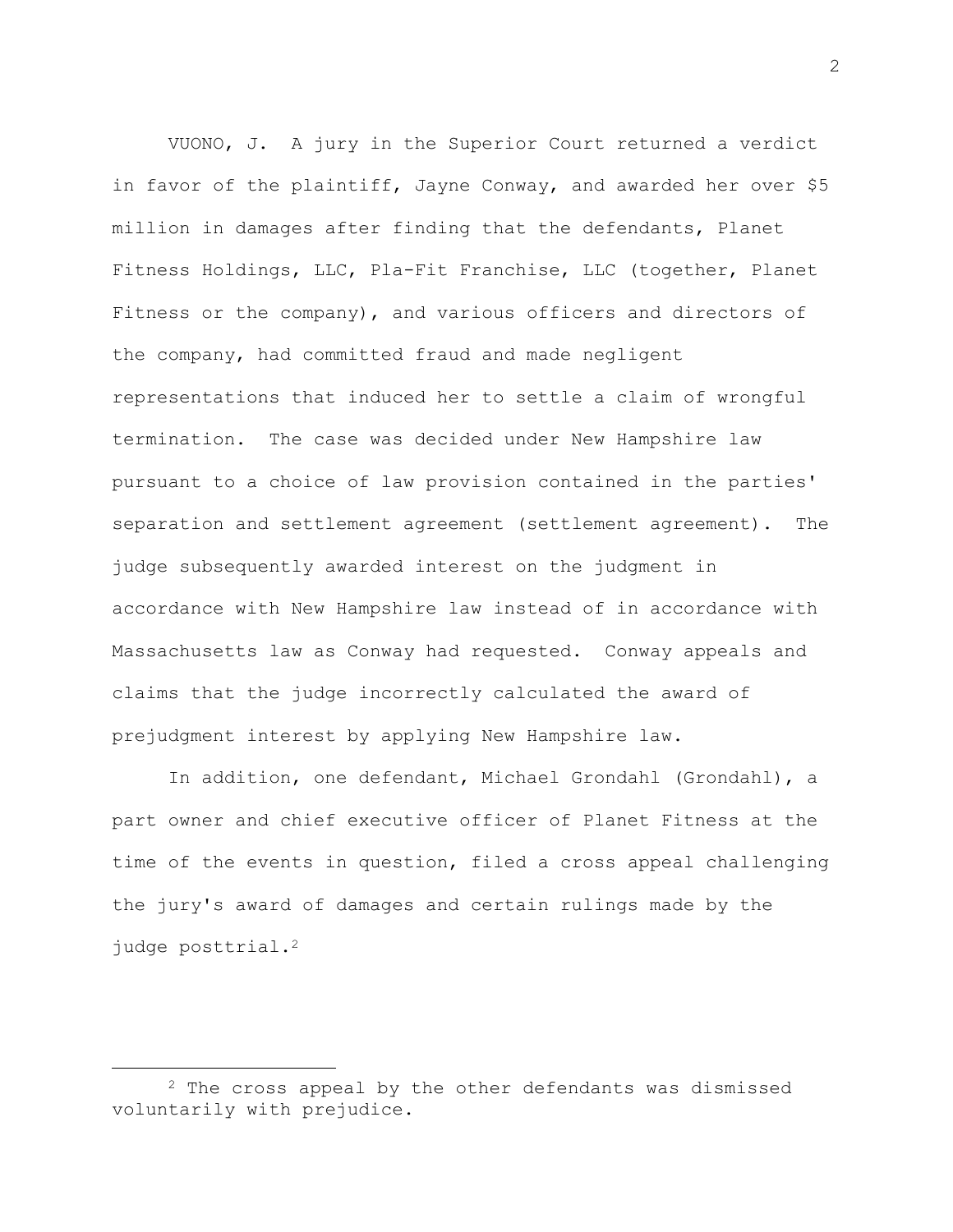VUONO, J. A jury in the Superior Court returned a verdict in favor of the plaintiff, Jayne Conway, and awarded her over \$5 million in damages after finding that the defendants, Planet Fitness Holdings, LLC, Pla-Fit Franchise, LLC (together, Planet Fitness or the company), and various officers and directors of the company, had committed fraud and made negligent representations that induced her to settle a claim of wrongful termination. The case was decided under New Hampshire law pursuant to a choice of law provision contained in the parties' separation and settlement agreement (settlement agreement). The judge subsequently awarded interest on the judgment in accordance with New Hampshire law instead of in accordance with Massachusetts law as Conway had requested. Conway appeals and claims that the judge incorrectly calculated the award of prejudgment interest by applying New Hampshire law.

In addition, one defendant, Michael Grondahl (Grondahl), a part owner and chief executive officer of Planet Fitness at the time of the events in question, filed a cross appeal challenging the jury's award of damages and certain rulings made by the judge posttrial.<sup>2</sup>

2

<sup>&</sup>lt;sup>2</sup> The cross appeal by the other defendants was dismissed voluntarily with prejudice.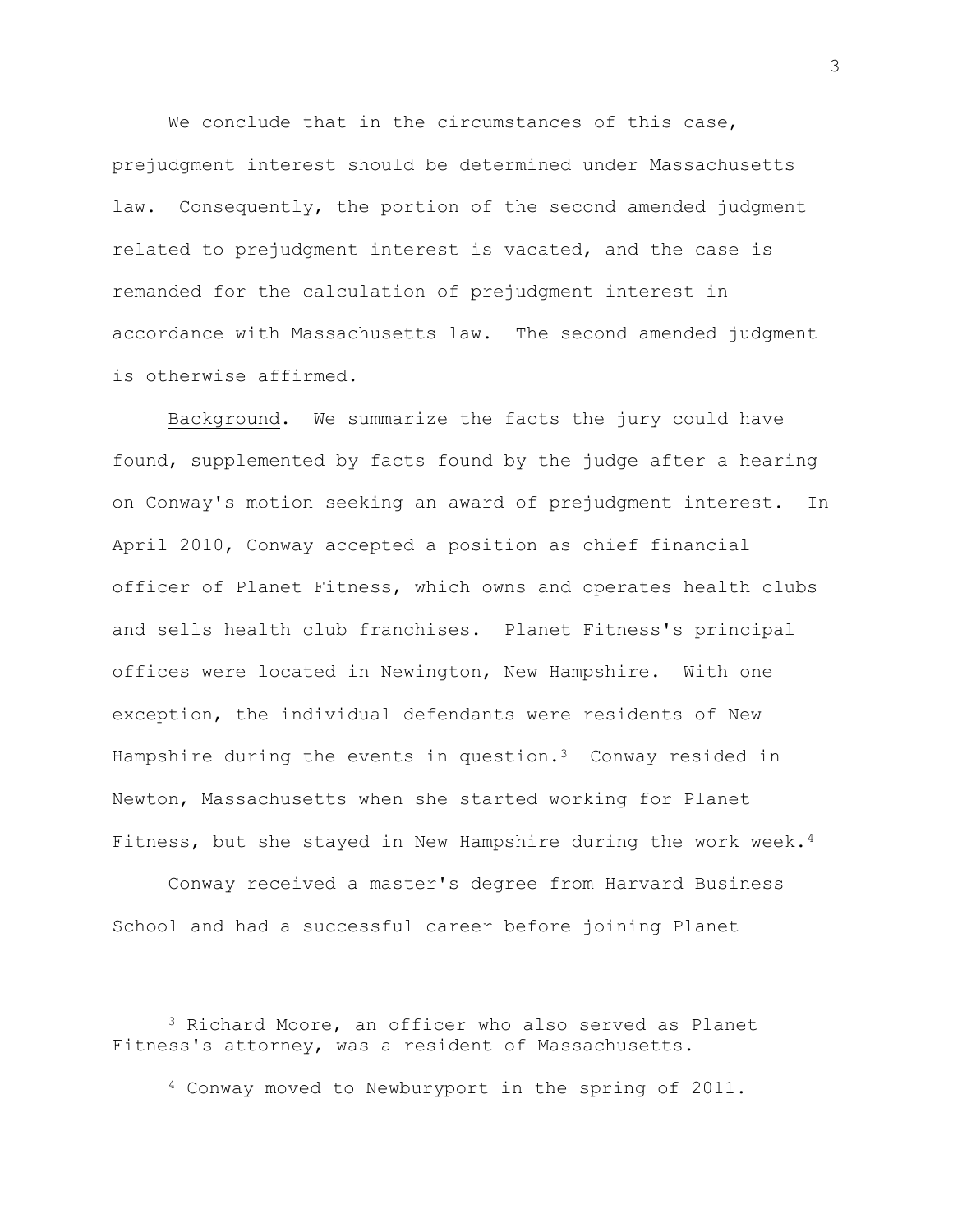We conclude that in the circumstances of this case, prejudgment interest should be determined under Massachusetts law. Consequently, the portion of the second amended judgment related to prejudgment interest is vacated, and the case is remanded for the calculation of prejudgment interest in accordance with Massachusetts law. The second amended judgment is otherwise affirmed.

Background. We summarize the facts the jury could have found, supplemented by facts found by the judge after a hearing on Conway's motion seeking an award of prejudgment interest. In April 2010, Conway accepted a position as chief financial officer of Planet Fitness, which owns and operates health clubs and sells health club franchises. Planet Fitness's principal offices were located in Newington, New Hampshire. With one exception, the individual defendants were residents of New Hampshire during the events in question. $3$  Conway resided in Newton, Massachusetts when she started working for Planet Fitness, but she stayed in New Hampshire during the work week.<sup>4</sup>

Conway received a master's degree from Harvard Business School and had a successful career before joining Planet

3

<sup>3</sup> Richard Moore, an officer who also served as Planet Fitness's attorney, was a resident of Massachusetts.

<sup>4</sup> Conway moved to Newburyport in the spring of 2011.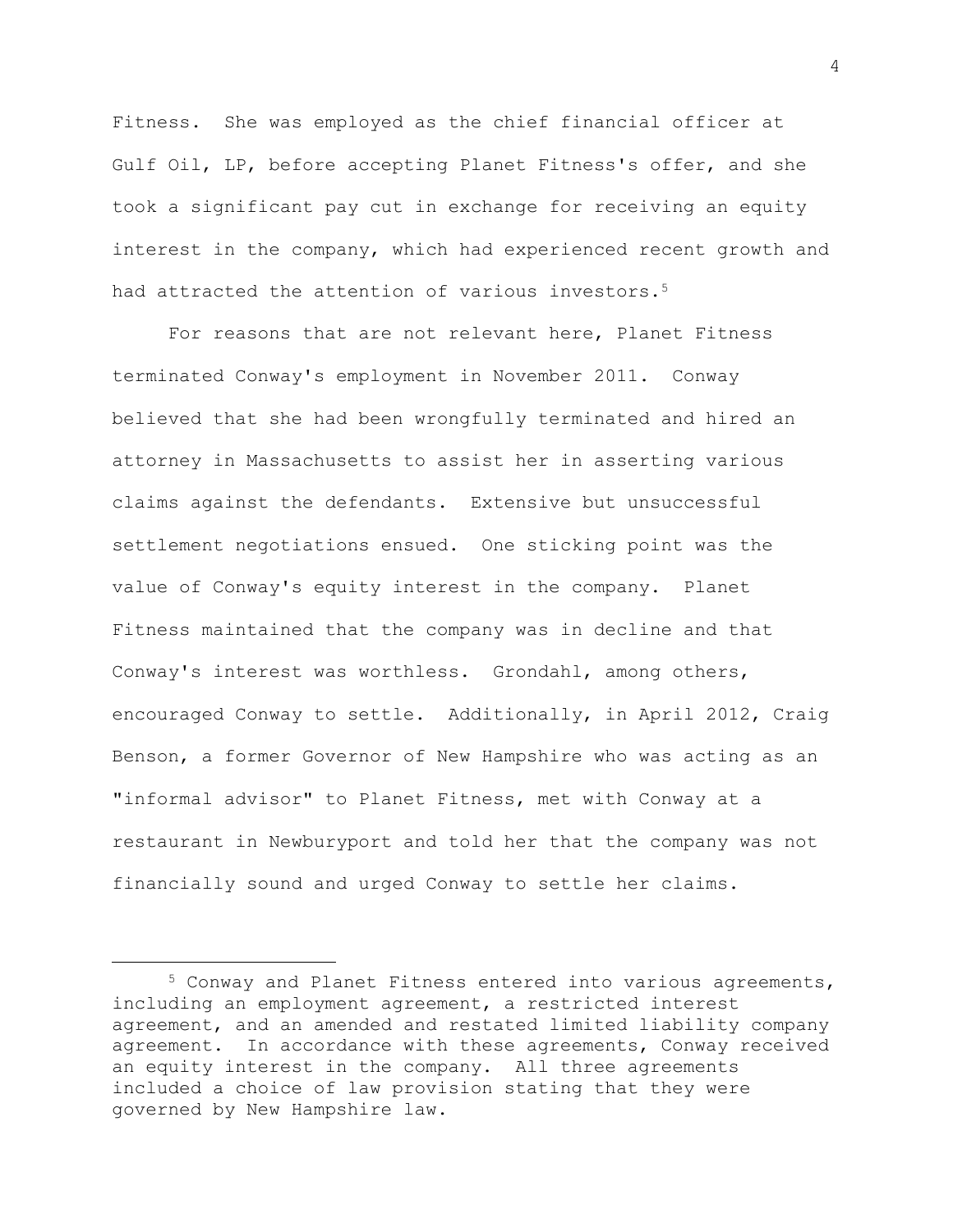Fitness. She was employed as the chief financial officer at Gulf Oil, LP, before accepting Planet Fitness's offer, and she took a significant pay cut in exchange for receiving an equity interest in the company, which had experienced recent growth and had attracted the attention of various investors.<sup>5</sup>

For reasons that are not relevant here, Planet Fitness terminated Conway's employment in November 2011. Conway believed that she had been wrongfully terminated and hired an attorney in Massachusetts to assist her in asserting various claims against the defendants. Extensive but unsuccessful settlement negotiations ensued. One sticking point was the value of Conway's equity interest in the company. Planet Fitness maintained that the company was in decline and that Conway's interest was worthless. Grondahl, among others, encouraged Conway to settle. Additionally, in April 2012, Craig Benson, a former Governor of New Hampshire who was acting as an "informal advisor" to Planet Fitness, met with Conway at a restaurant in Newburyport and told her that the company was not financially sound and urged Conway to settle her claims.

<sup>5</sup> Conway and Planet Fitness entered into various agreements, including an employment agreement, a restricted interest agreement, and an amended and restated limited liability company agreement. In accordance with these agreements, Conway received an equity interest in the company. All three agreements included a choice of law provision stating that they were governed by New Hampshire law.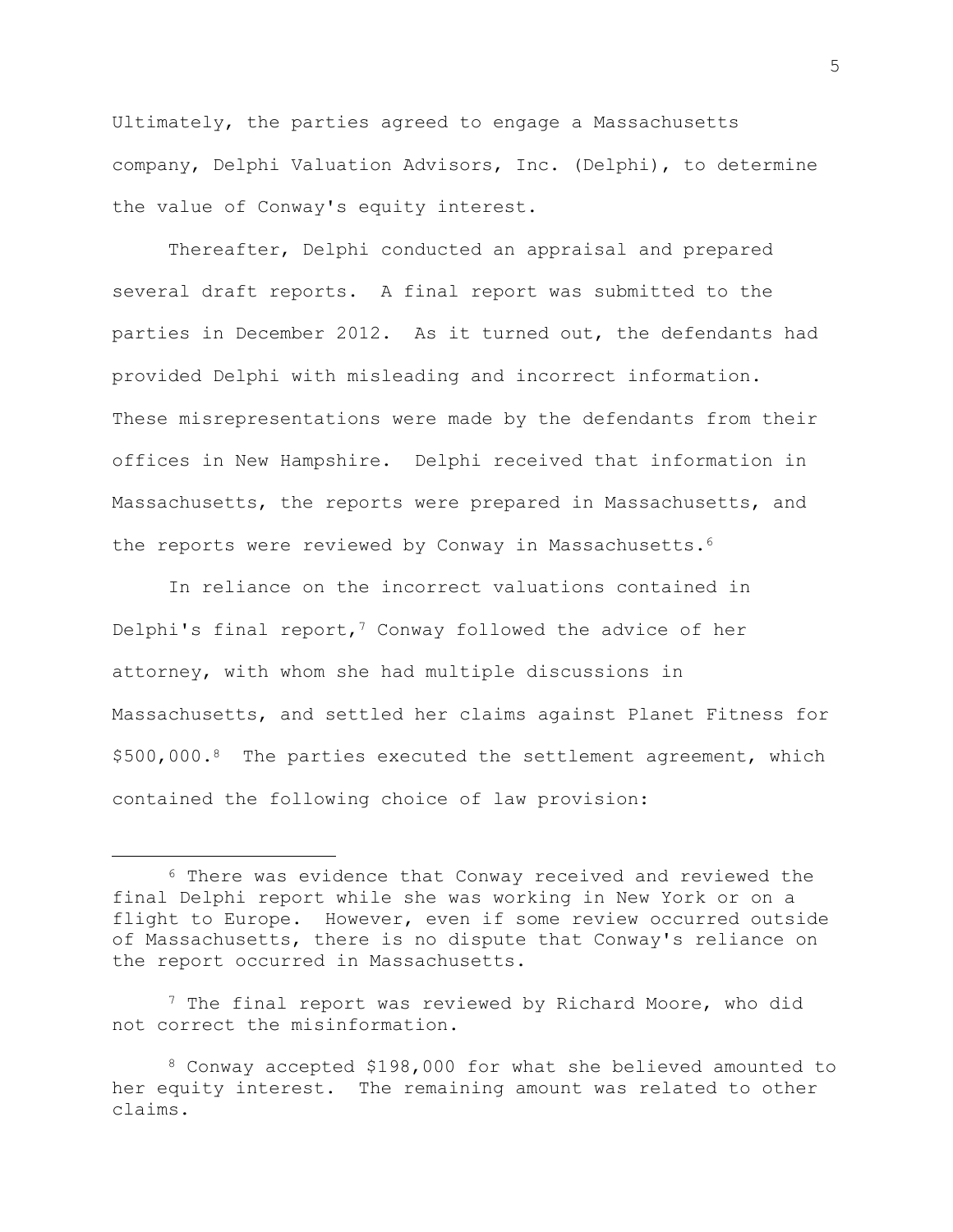Ultimately, the parties agreed to engage a Massachusetts company, Delphi Valuation Advisors, Inc. (Delphi), to determine the value of Conway's equity interest.

Thereafter, Delphi conducted an appraisal and prepared several draft reports. A final report was submitted to the parties in December 2012. As it turned out, the defendants had provided Delphi with misleading and incorrect information. These misrepresentations were made by the defendants from their offices in New Hampshire. Delphi received that information in Massachusetts, the reports were prepared in Massachusetts, and the reports were reviewed by Conway in Massachusetts.<sup>6</sup>

In reliance on the incorrect valuations contained in Delphi's final report,<sup>7</sup> Conway followed the advice of her attorney, with whom she had multiple discussions in Massachusetts, and settled her claims against Planet Fitness for  $$500,000.^8$  The parties executed the settlement agreement, which contained the following choice of law provision:

<sup>7</sup> The final report was reviewed by Richard Moore, who did not correct the misinformation.

<sup>6</sup> There was evidence that Conway received and reviewed the final Delphi report while she was working in New York or on a flight to Europe. However, even if some review occurred outside of Massachusetts, there is no dispute that Conway's reliance on the report occurred in Massachusetts.

<sup>8</sup> Conway accepted \$198,000 for what she believed amounted to her equity interest. The remaining amount was related to other claims.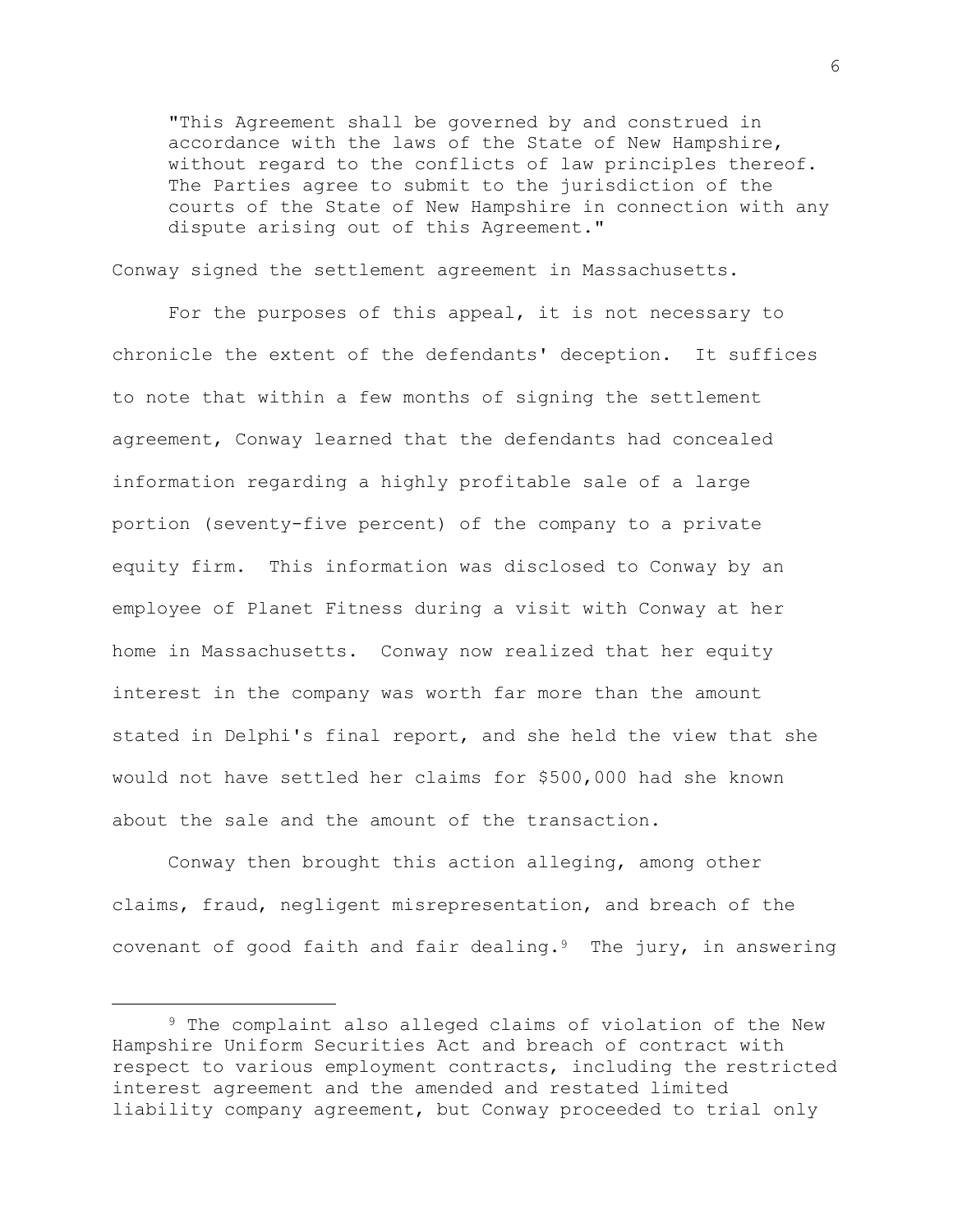"This Agreement shall be governed by and construed in accordance with the laws of the State of New Hampshire, without regard to the conflicts of law principles thereof. The Parties agree to submit to the jurisdiction of the courts of the State of New Hampshire in connection with any dispute arising out of this Agreement."

Conway signed the settlement agreement in Massachusetts.

For the purposes of this appeal, it is not necessary to chronicle the extent of the defendants' deception. It suffices to note that within a few months of signing the settlement agreement, Conway learned that the defendants had concealed information regarding a highly profitable sale of a large portion (seventy-five percent) of the company to a private equity firm. This information was disclosed to Conway by an employee of Planet Fitness during a visit with Conway at her home in Massachusetts. Conway now realized that her equity interest in the company was worth far more than the amount stated in Delphi's final report, and she held the view that she would not have settled her claims for \$500,000 had she known about the sale and the amount of the transaction.

Conway then brought this action alleging, among other claims, fraud, negligent misrepresentation, and breach of the covenant of good faith and fair dealing.<sup>9</sup> The jury, in answering

<sup>9</sup> The complaint also alleged claims of violation of the New Hampshire Uniform Securities Act and breach of contract with respect to various employment contracts, including the restricted interest agreement and the amended and restated limited liability company agreement, but Conway proceeded to trial only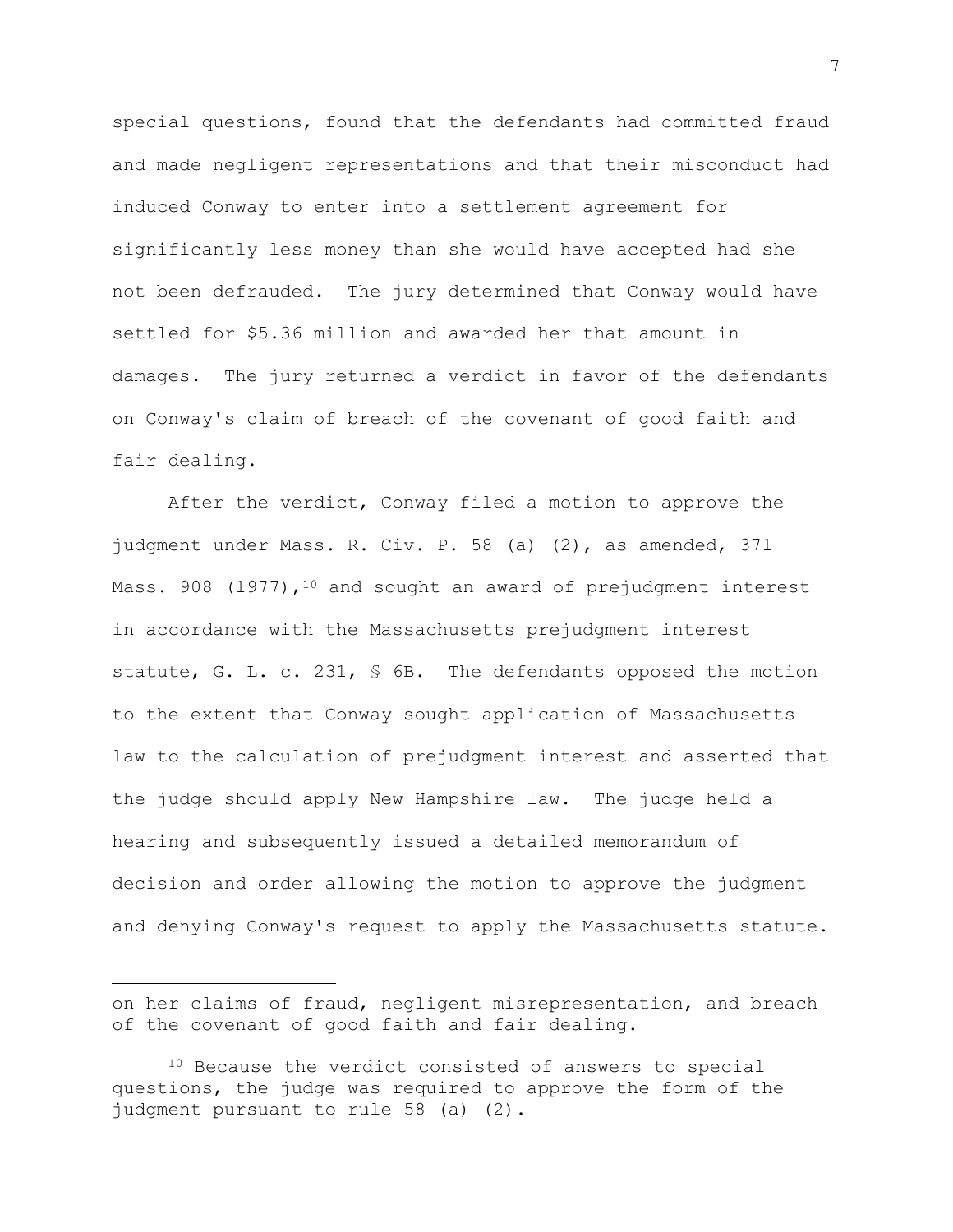special questions, found that the defendants had committed fraud and made negligent representations and that their misconduct had induced Conway to enter into a settlement agreement for significantly less money than she would have accepted had she not been defrauded. The jury determined that Conway would have settled for \$5.36 million and awarded her that amount in damages. The jury returned a verdict in favor of the defendants on Conway's claim of breach of the covenant of good faith and fair dealing.

After the verdict, Conway filed a motion to approve the judgment under Mass. R. Civ. P. 58 (a) (2), as amended, 371 Mass. 908  $(1977)$ , <sup>10</sup> and sought an award of prejudgment interest in accordance with the Massachusetts prejudgment interest statute, G. L. c. 231, § 6B. The defendants opposed the motion to the extent that Conway sought application of Massachusetts law to the calculation of prejudgment interest and asserted that the judge should apply New Hampshire law. The judge held a hearing and subsequently issued a detailed memorandum of decision and order allowing the motion to approve the judgment and denying Conway's request to apply the Massachusetts statute.

on her claims of fraud, negligent misrepresentation, and breach of the covenant of good faith and fair dealing.

<sup>10</sup> Because the verdict consisted of answers to special questions, the judge was required to approve the form of the judgment pursuant to rule 58 (a) (2).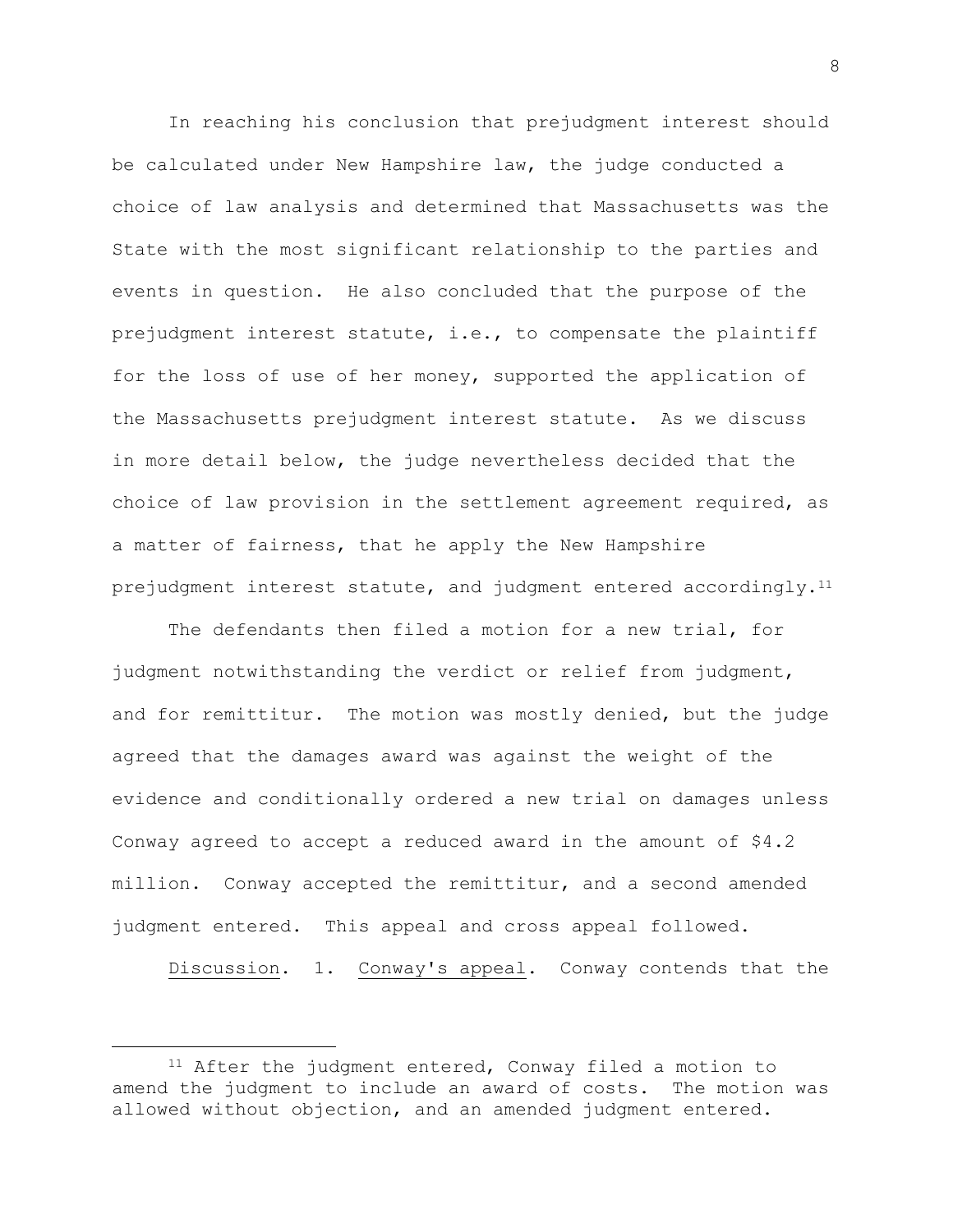In reaching his conclusion that prejudgment interest should be calculated under New Hampshire law, the judge conducted a choice of law analysis and determined that Massachusetts was the State with the most significant relationship to the parties and events in question. He also concluded that the purpose of the prejudgment interest statute, i.e., to compensate the plaintiff for the loss of use of her money, supported the application of the Massachusetts prejudgment interest statute. As we discuss in more detail below, the judge nevertheless decided that the choice of law provision in the settlement agreement required, as a matter of fairness, that he apply the New Hampshire prejudgment interest statute, and judgment entered accordingly.<sup>11</sup>

The defendants then filed a motion for a new trial, for judgment notwithstanding the verdict or relief from judgment, and for remittitur. The motion was mostly denied, but the judge agreed that the damages award was against the weight of the evidence and conditionally ordered a new trial on damages unless Conway agreed to accept a reduced award in the amount of \$4.2 million. Conway accepted the remittitur, and a second amended judgment entered. This appeal and cross appeal followed.

Discussion. 1. Conway's appeal. Conway contends that the

<sup>11</sup> After the judgment entered, Conway filed a motion to amend the judgment to include an award of costs. The motion was allowed without objection, and an amended judgment entered.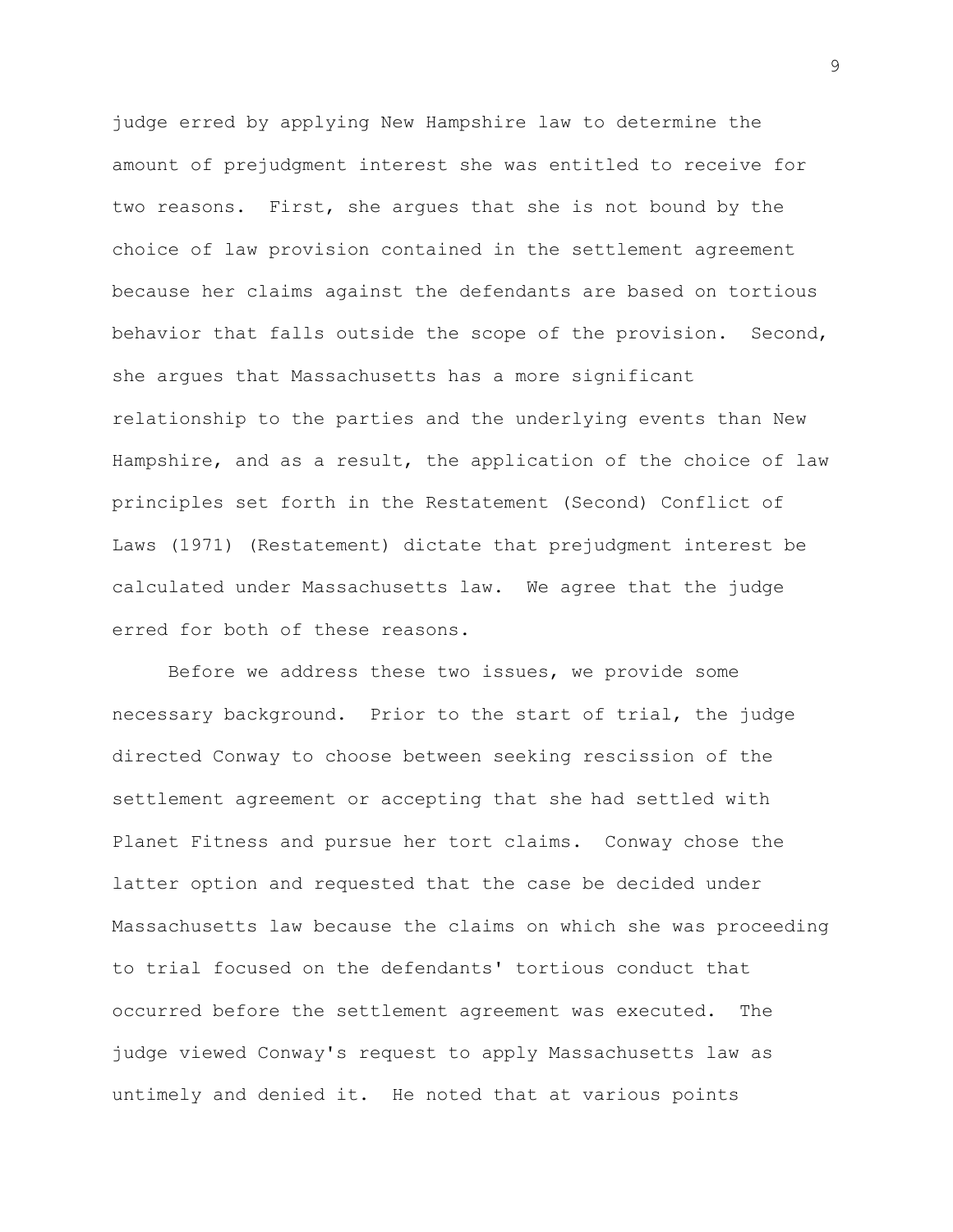judge erred by applying New Hampshire law to determine the amount of prejudgment interest she was entitled to receive for two reasons. First, she argues that she is not bound by the choice of law provision contained in the settlement agreement because her claims against the defendants are based on tortious behavior that falls outside the scope of the provision. Second, she argues that Massachusetts has a more significant relationship to the parties and the underlying events than New Hampshire, and as a result, the application of the choice of law principles set forth in the Restatement (Second) Conflict of Laws (1971) (Restatement) dictate that prejudgment interest be calculated under Massachusetts law. We agree that the judge erred for both of these reasons.

Before we address these two issues, we provide some necessary background. Prior to the start of trial, the judge directed Conway to choose between seeking rescission of the settlement agreement or accepting that she had settled with Planet Fitness and pursue her tort claims. Conway chose the latter option and requested that the case be decided under Massachusetts law because the claims on which she was proceeding to trial focused on the defendants' tortious conduct that occurred before the settlement agreement was executed. The judge viewed Conway's request to apply Massachusetts law as untimely and denied it. He noted that at various points

9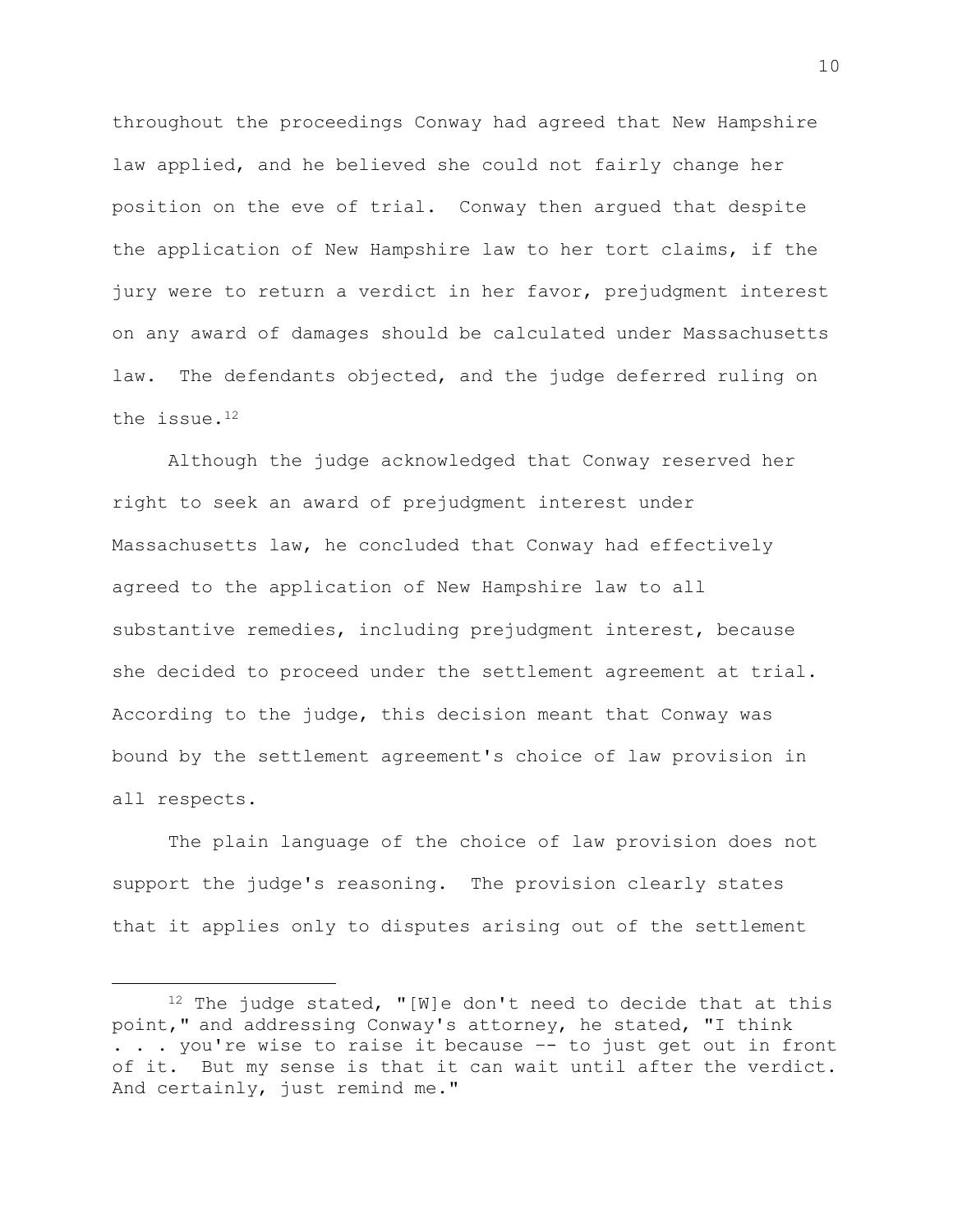throughout the proceedings Conway had agreed that New Hampshire law applied, and he believed she could not fairly change her position on the eve of trial. Conway then argued that despite the application of New Hampshire law to her tort claims, if the jury were to return a verdict in her favor, prejudgment interest on any award of damages should be calculated under Massachusetts law. The defendants objected, and the judge deferred ruling on the issue.<sup>12</sup>

Although the judge acknowledged that Conway reserved her right to seek an award of prejudgment interest under Massachusetts law, he concluded that Conway had effectively agreed to the application of New Hampshire law to all substantive remedies, including prejudgment interest, because she decided to proceed under the settlement agreement at trial. According to the judge, this decision meant that Conway was bound by the settlement agreement's choice of law provision in all respects.

The plain language of the choice of law provision does not support the judge's reasoning. The provision clearly states that it applies only to disputes arising out of the settlement

 $12$  The judge stated, "[W]e don't need to decide that at this point," and addressing Conway's attorney, he stated, "I think . . . you're wise to raise it because –- to just get out in front of it. But my sense is that it can wait until after the verdict. And certainly, just remind me."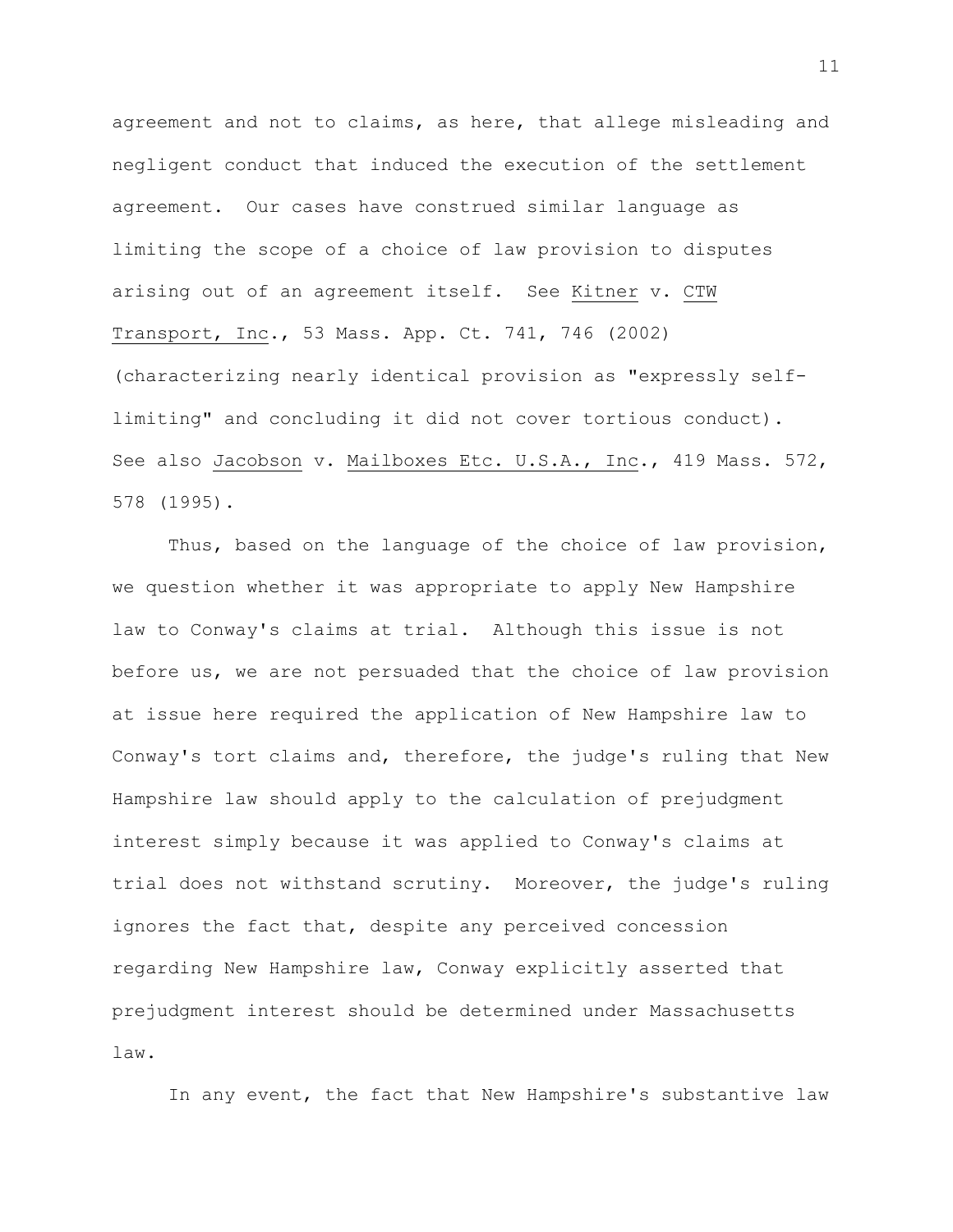agreement and not to claims, as here, that allege misleading and negligent conduct that induced the execution of the settlement agreement. Our cases have construed similar language as limiting the scope of a choice of law provision to disputes arising out of an agreement itself. See Kitner v. CTW Transport, Inc., 53 Mass. App. Ct. 741, 746 (2002) (characterizing nearly identical provision as "expressly selflimiting" and concluding it did not cover tortious conduct). See also Jacobson v. Mailboxes Etc. U.S.A., Inc., 419 Mass. 572, 578 (1995).

Thus, based on the language of the choice of law provision, we question whether it was appropriate to apply New Hampshire law to Conway's claims at trial. Although this issue is not before us, we are not persuaded that the choice of law provision at issue here required the application of New Hampshire law to Conway's tort claims and, therefore, the judge's ruling that New Hampshire law should apply to the calculation of prejudgment interest simply because it was applied to Conway's claims at trial does not withstand scrutiny. Moreover, the judge's ruling ignores the fact that, despite any perceived concession regarding New Hampshire law, Conway explicitly asserted that prejudgment interest should be determined under Massachusetts law.

In any event, the fact that New Hampshire's substantive law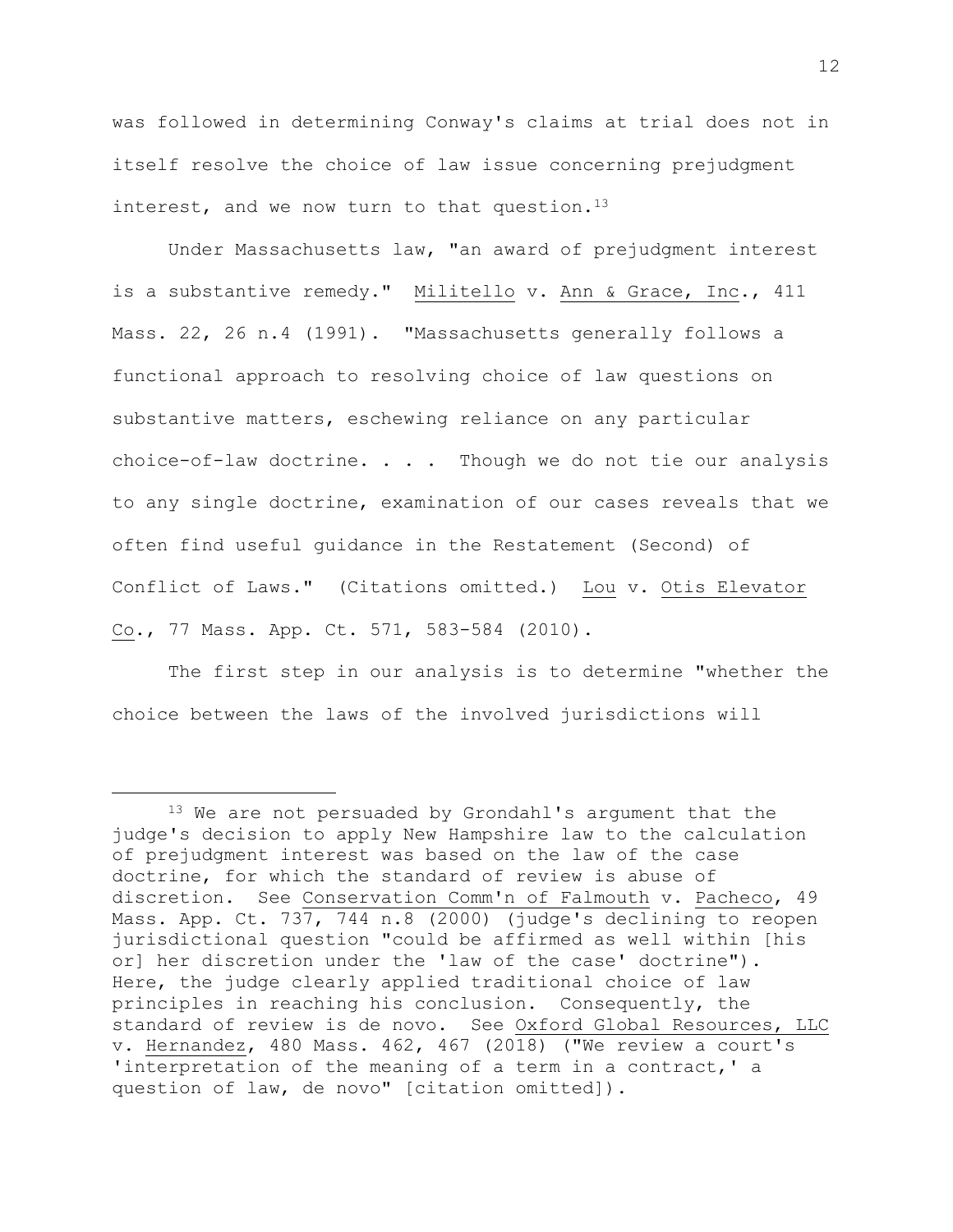was followed in determining Conway's claims at trial does not in itself resolve the choice of law issue concerning prejudgment interest, and we now turn to that question.<sup>13</sup>

Under Massachusetts law, "an award of prejudgment interest is a substantive remedy." Militello v. Ann & Grace, Inc., 411 Mass. 22, 26 n.4 (1991). "Massachusetts generally follows a functional approach to resolving choice of law questions on substantive matters, eschewing reliance on any particular choice-of-law doctrine. . . . Though we do not tie our analysis to any single doctrine, examination of our cases reveals that we often find useful guidance in the Restatement (Second) of Conflict of Laws." (Citations omitted.) Lou v. Otis Elevator Co., 77 Mass. App. Ct. 571, 583-584 (2010).

The first step in our analysis is to determine "whether the choice between the laws of the involved jurisdictions will

<sup>&</sup>lt;sup>13</sup> We are not persuaded by Grondahl's argument that the judge's decision to apply New Hampshire law to the calculation of prejudgment interest was based on the law of the case doctrine, for which the standard of review is abuse of discretion. See Conservation Comm'n of Falmouth v. Pacheco, 49 Mass. App. Ct. 737, 744 n.8 (2000) (judge's declining to reopen jurisdictional question "could be affirmed as well within [his or] her discretion under the 'law of the case' doctrine"). Here, the judge clearly applied traditional choice of law principles in reaching his conclusion. Consequently, the standard of review is de novo. See Oxford Global Resources, LLC v. Hernandez, 480 Mass. 462, 467 (2018) ("We review a court's 'interpretation of the meaning of a term in a contract,' a question of law, de novo" [citation omitted]).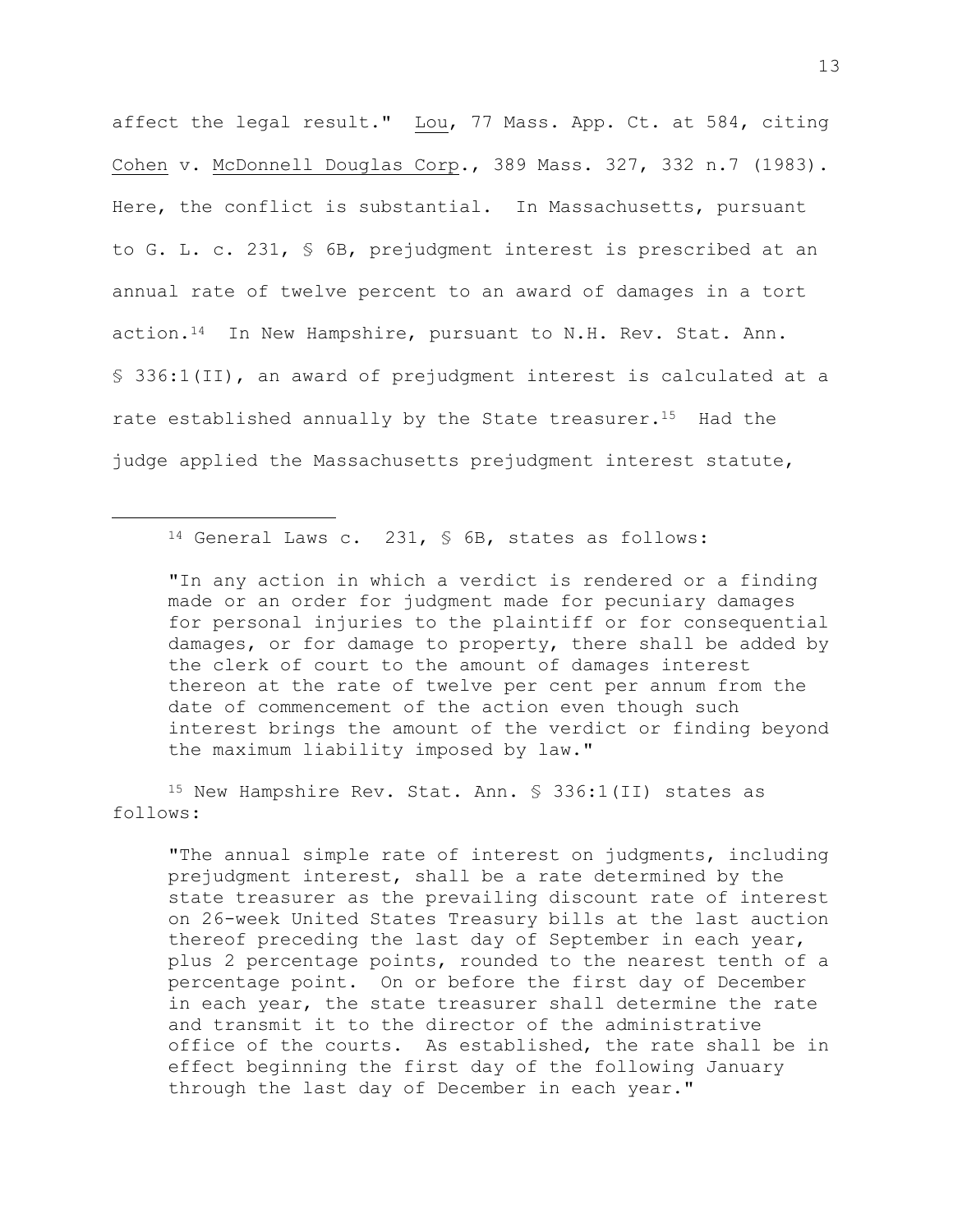affect the legal result." Lou, 77 Mass. App. Ct. at 584, citing Cohen v. McDonnell Douglas Corp., 389 Mass. 327, 332 n.7 (1983). Here, the conflict is substantial. In Massachusetts, pursuant to G. L. c. 231, § 6B, prejudgment interest is prescribed at an annual rate of twelve percent to an award of damages in a tort action.14 In New Hampshire, pursuant to N.H. Rev. Stat. Ann. § 336:1(II), an award of prejudgment interest is calculated at a rate established annually by the State treasurer.<sup>15</sup> Had the judge applied the Massachusetts prejudgment interest statute,

<sup>14</sup> General Laws c. 231, § 6B, states as follows:

"In any action in which a verdict is rendered or a finding made or an order for judgment made for pecuniary damages for personal injuries to the plaintiff or for consequential damages, or for damage to property, there shall be added by the clerk of court to the amount of damages interest thereon at the rate of twelve per cent per annum from the date of commencement of the action even though such interest brings the amount of the verdict or finding beyond the maximum liability imposed by law."

<sup>15</sup> New Hampshire Rev. Stat. Ann. § 336:1(II) states as follows:

"The annual simple rate of interest on judgments, including prejudgment interest, shall be a rate determined by the state treasurer as the prevailing discount rate of interest on 26-week United States Treasury bills at the last auction thereof preceding the last day of September in each year, plus 2 percentage points, rounded to the nearest tenth of a percentage point. On or before the first day of December in each year, the state treasurer shall determine the rate and transmit it to the director of the administrative office of the courts. As established, the rate shall be in effect beginning the first day of the following January through the last day of December in each year."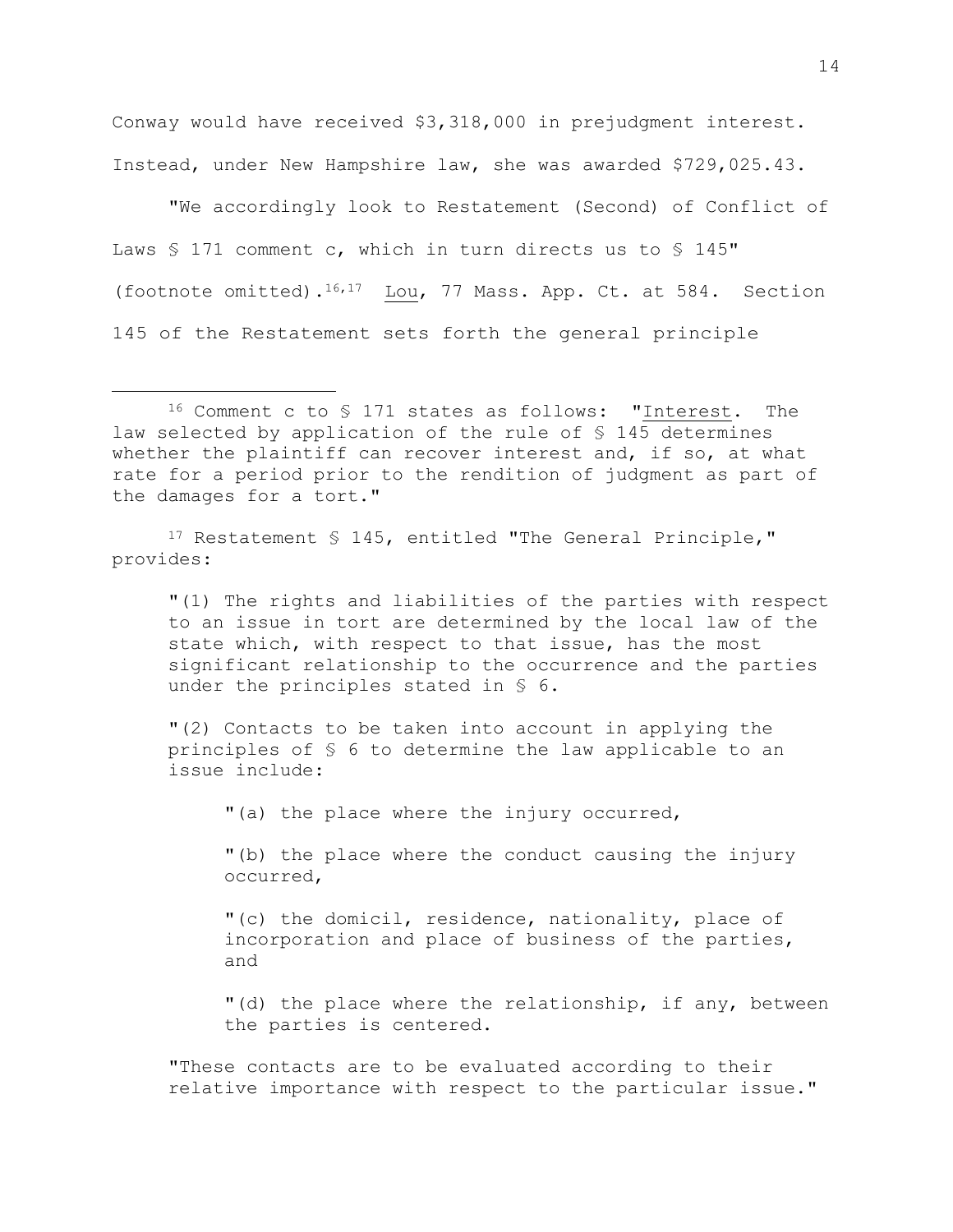Conway would have received \$3,318,000 in prejudgment interest. Instead, under New Hampshire law, she was awarded \$729,025.43.

"We accordingly look to Restatement (Second) of Conflict of Laws § 171 comment c, which in turn directs us to § 145" (footnote omitted).16,17 Lou, 77 Mass. App. Ct. at 584. Section 145 of the Restatement sets forth the general principle

17 Restatement § 145, entitled "The General Principle," provides:

"(1) The rights and liabilities of the parties with respect to an issue in tort are determined by the local law of the state which, with respect to that issue, has the most significant relationship to the occurrence and the parties under the principles stated in § 6.

"(2) Contacts to be taken into account in applying the principles of § 6 to determine the law applicable to an issue include:

"(a) the place where the injury occurred,

"(b) the place where the conduct causing the injury occurred,

"(c) the domicil, residence, nationality, place of incorporation and place of business of the parties, and

"(d) the place where the relationship, if any, between the parties is centered.

"These contacts are to be evaluated according to their relative importance with respect to the particular issue."

<sup>16</sup> Comment c to § 171 states as follows: "Interest. The law selected by application of the rule of § 145 determines whether the plaintiff can recover interest and, if so, at what rate for a period prior to the rendition of judgment as part of the damages for a tort."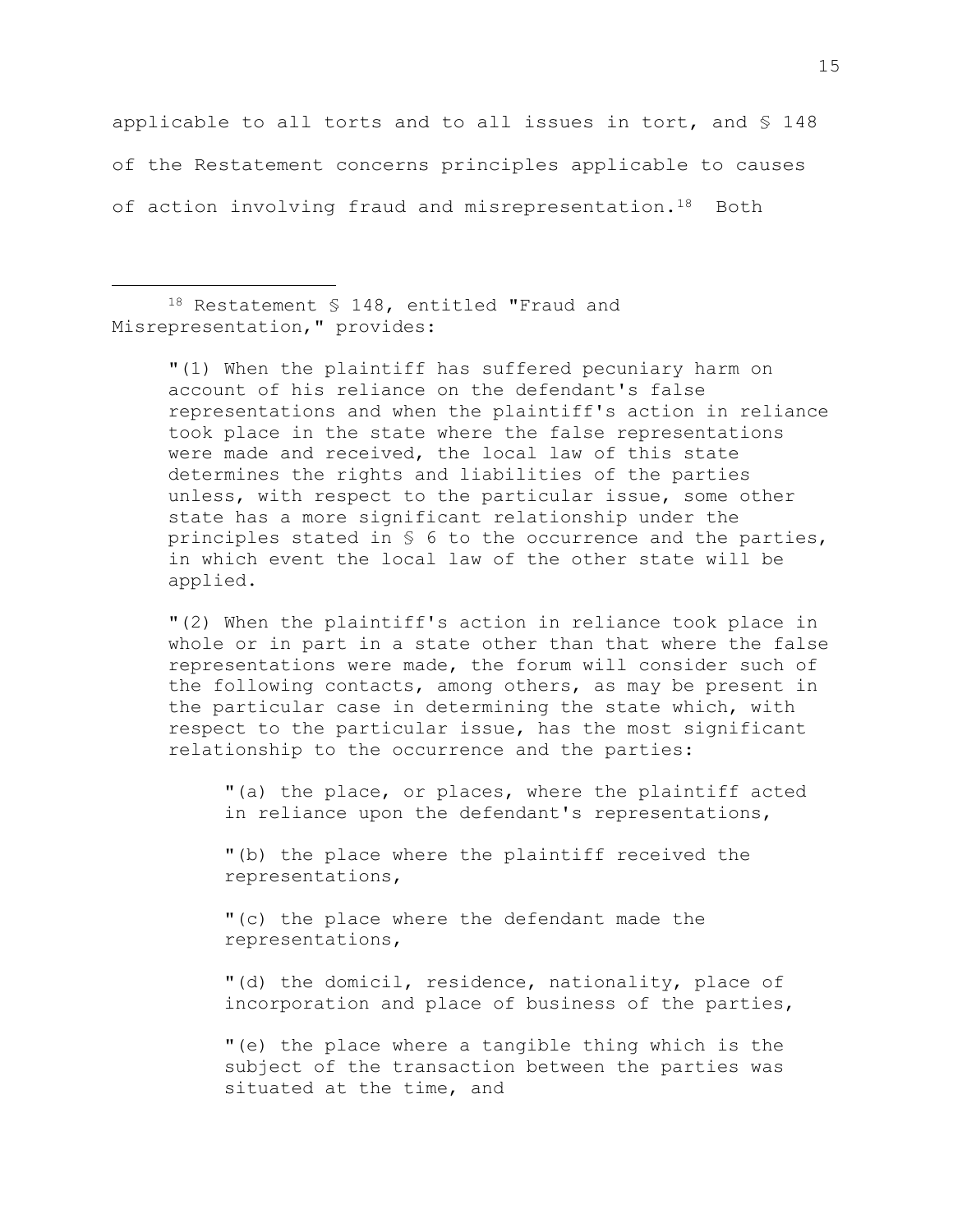applicable to all torts and to all issues in tort, and § 148 of the Restatement concerns principles applicable to causes of action involving fraud and misrepresentation.18 Both

<sup>18</sup> Restatement § 148, entitled "Fraud and Misrepresentation," provides:

> "(1) When the plaintiff has suffered pecuniary harm on account of his reliance on the defendant's false representations and when the plaintiff's action in reliance took place in the state where the false representations were made and received, the local law of this state determines the rights and liabilities of the parties unless, with respect to the particular issue, some other state has a more significant relationship under the principles stated in § 6 to the occurrence and the parties, in which event the local law of the other state will be applied.

> "(2) When the plaintiff's action in reliance took place in whole or in part in a state other than that where the false representations were made, the forum will consider such of the following contacts, among others, as may be present in the particular case in determining the state which, with respect to the particular issue, has the most significant relationship to the occurrence and the parties:

"(a) the place, or places, where the plaintiff acted in reliance upon the defendant's representations,

"(b) the place where the plaintiff received the representations,

"(c) the place where the defendant made the representations,

"(d) the domicil, residence, nationality, place of incorporation and place of business of the parties,

"(e) the place where a tangible thing which is the subject of the transaction between the parties was situated at the time, and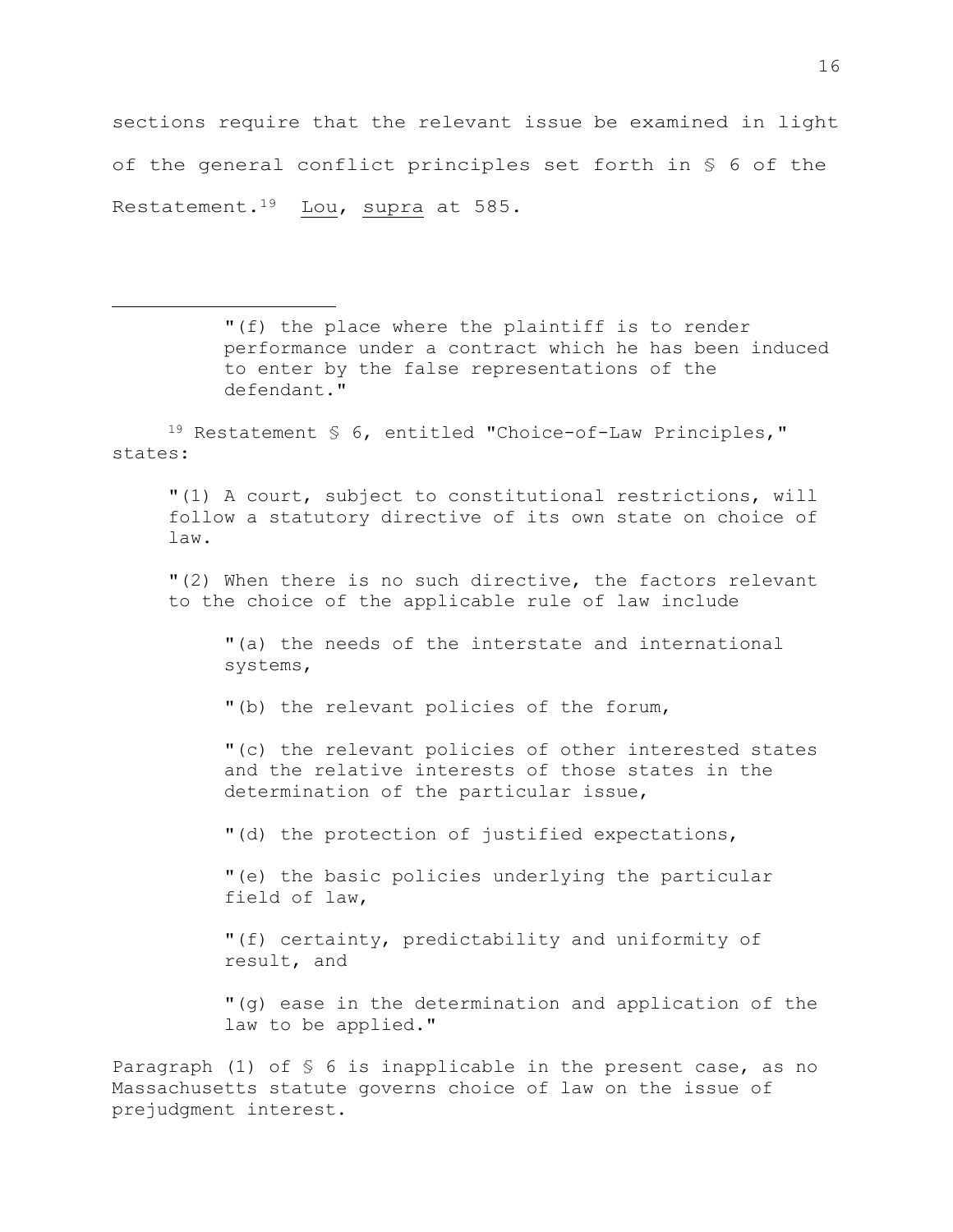sections require that the relevant issue be examined in light of the general conflict principles set forth in § 6 of the Restatement.<sup>19</sup> Lou, supra at 585.

> "(f) the place where the plaintiff is to render performance under a contract which he has been induced to enter by the false representations of the defendant."

<sup>19</sup> Restatement § 6, entitled "Choice-of-Law Principles," states:

"(1) A court, subject to constitutional restrictions, will follow a statutory directive of its own state on choice of law.

"(2) When there is no such directive, the factors relevant to the choice of the applicable rule of law include

"(a) the needs of the interstate and international systems,

"(b) the relevant policies of the forum,

"(c) the relevant policies of other interested states and the relative interests of those states in the determination of the particular issue,

"(d) the protection of justified expectations,

"(e) the basic policies underlying the particular field of law,

"(f) certainty, predictability and uniformity of result, and

"(g) ease in the determination and application of the law to be applied."

Paragraph (1) of § 6 is inapplicable in the present case, as no Massachusetts statute governs choice of law on the issue of prejudgment interest.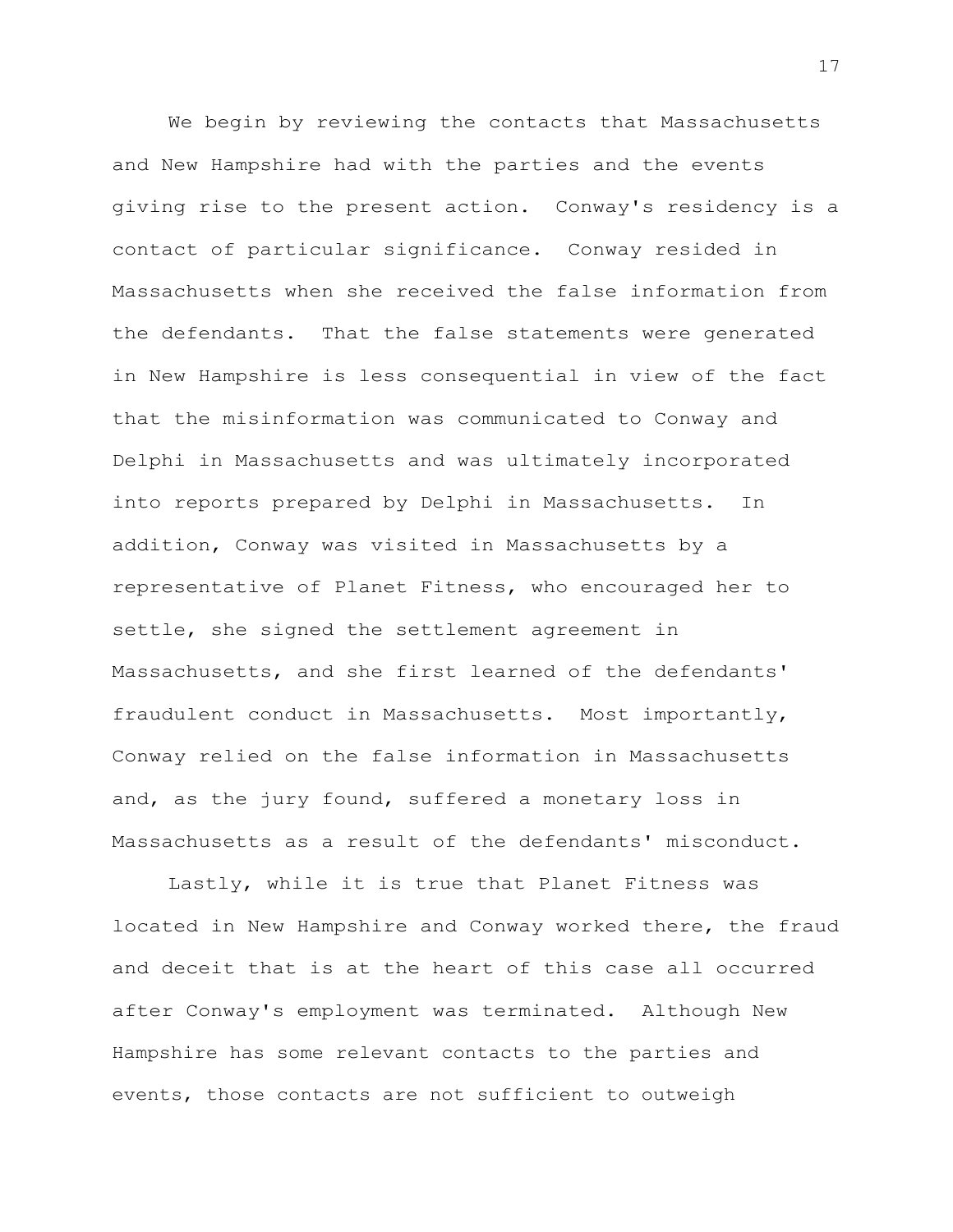We begin by reviewing the contacts that Massachusetts and New Hampshire had with the parties and the events giving rise to the present action. Conway's residency is a contact of particular significance. Conway resided in Massachusetts when she received the false information from the defendants. That the false statements were generated in New Hampshire is less consequential in view of the fact that the misinformation was communicated to Conway and Delphi in Massachusetts and was ultimately incorporated into reports prepared by Delphi in Massachusetts. In addition, Conway was visited in Massachusetts by a representative of Planet Fitness, who encouraged her to settle, she signed the settlement agreement in Massachusetts, and she first learned of the defendants' fraudulent conduct in Massachusetts. Most importantly, Conway relied on the false information in Massachusetts and, as the jury found, suffered a monetary loss in Massachusetts as a result of the defendants' misconduct.

Lastly, while it is true that Planet Fitness was located in New Hampshire and Conway worked there, the fraud and deceit that is at the heart of this case all occurred after Conway's employment was terminated. Although New Hampshire has some relevant contacts to the parties and events, those contacts are not sufficient to outweigh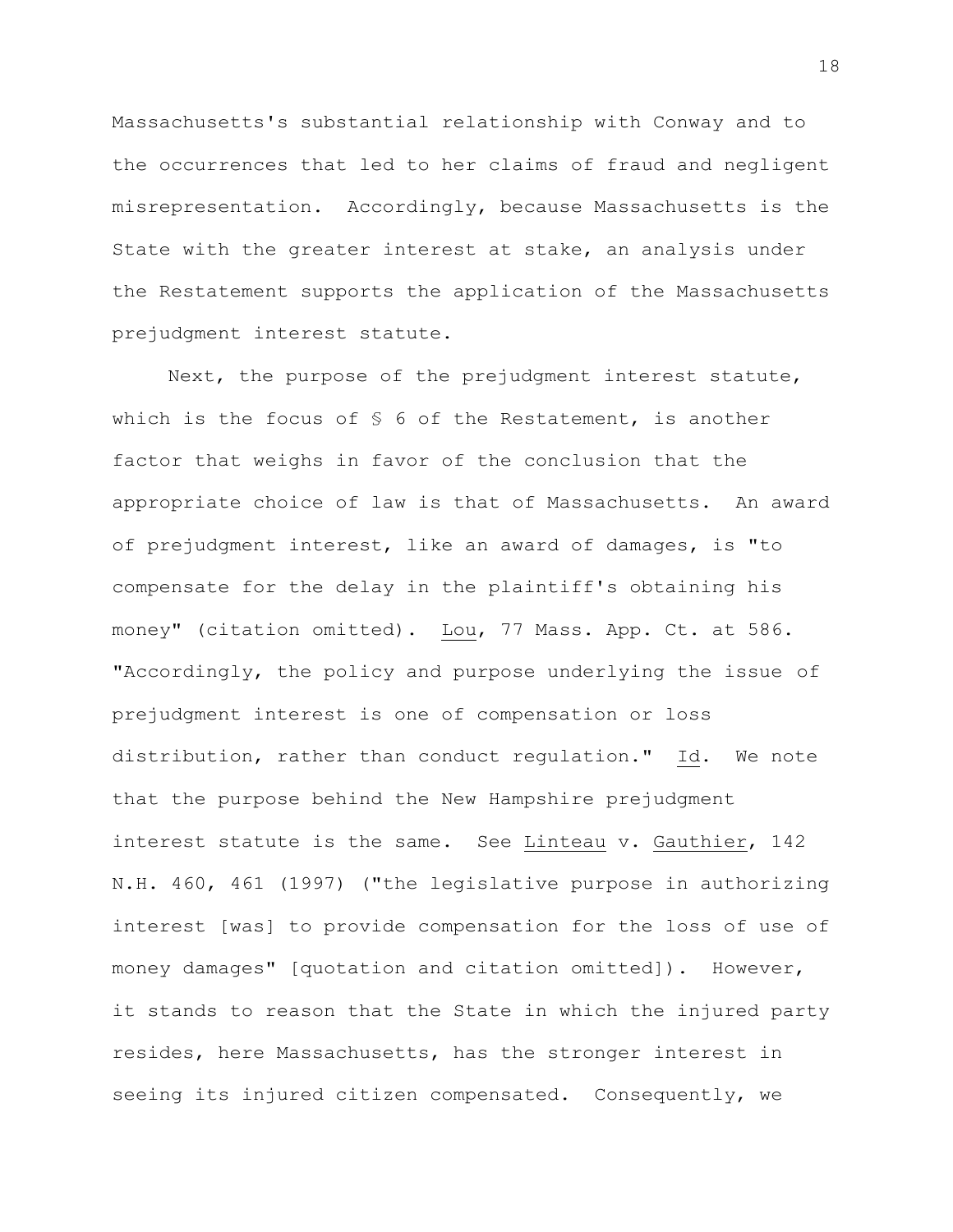Massachusetts's substantial relationship with Conway and to the occurrences that led to her claims of fraud and negligent misrepresentation. Accordingly, because Massachusetts is the State with the greater interest at stake, an analysis under the Restatement supports the application of the Massachusetts prejudgment interest statute.

Next, the purpose of the prejudgment interest statute, which is the focus of § 6 of the Restatement, is another factor that weighs in favor of the conclusion that the appropriate choice of law is that of Massachusetts. An award of prejudgment interest, like an award of damages, is "to compensate for the delay in the plaintiff's obtaining his money" (citation omitted). Lou, 77 Mass. App. Ct. at 586. "Accordingly, the policy and purpose underlying the issue of prejudgment interest is one of compensation or loss distribution, rather than conduct regulation**."** Id. We note that the purpose behind the New Hampshire prejudgment interest statute is the same. See Linteau v. Gauthier, 142 N.H. 460, 461 (1997) ("the legislative purpose in authorizing interest [was] to provide compensation for the loss of use of money damages" [quotation and citation omitted]). However, it stands to reason that the State in which the injured party resides, here Massachusetts, has the stronger interest in seeing its injured citizen compensated. Consequently, we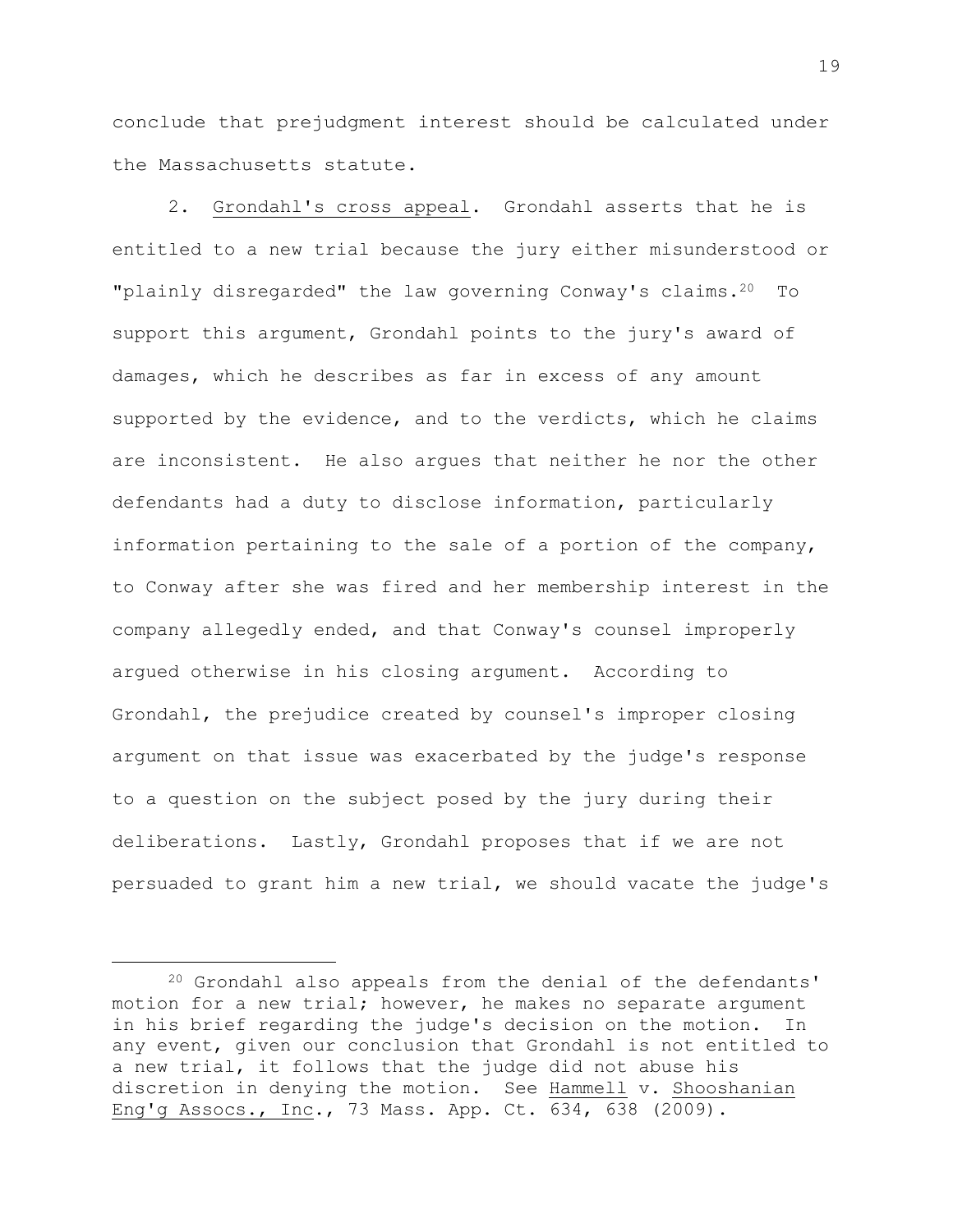conclude that prejudgment interest should be calculated under the Massachusetts statute.

2. Grondahl's cross appeal. Grondahl asserts that he is entitled to a new trial because the jury either misunderstood or "plainly disregarded" the law governing Conway's claims.<sup>20</sup> To support this argument, Grondahl points to the jury's award of damages, which he describes as far in excess of any amount supported by the evidence, and to the verdicts, which he claims are inconsistent. He also argues that neither he nor the other defendants had a duty to disclose information, particularly information pertaining to the sale of a portion of the company, to Conway after she was fired and her membership interest in the company allegedly ended, and that Conway's counsel improperly argued otherwise in his closing argument. According to Grondahl, the prejudice created by counsel's improper closing argument on that issue was exacerbated by the judge's response to a question on the subject posed by the jury during their deliberations. Lastly, Grondahl proposes that if we are not persuaded to grant him a new trial, we should vacate the judge's

<sup>20</sup> Grondahl also appeals from the denial of the defendants' motion for a new trial; however, he makes no separate argument in his brief regarding the judge's decision on the motion. In any event, given our conclusion that Grondahl is not entitled to a new trial, it follows that the judge did not abuse his discretion in denying the motion. See Hammell v. Shooshanian Eng'g Assocs., Inc., 73 Mass. App. Ct. 634, 638 (2009).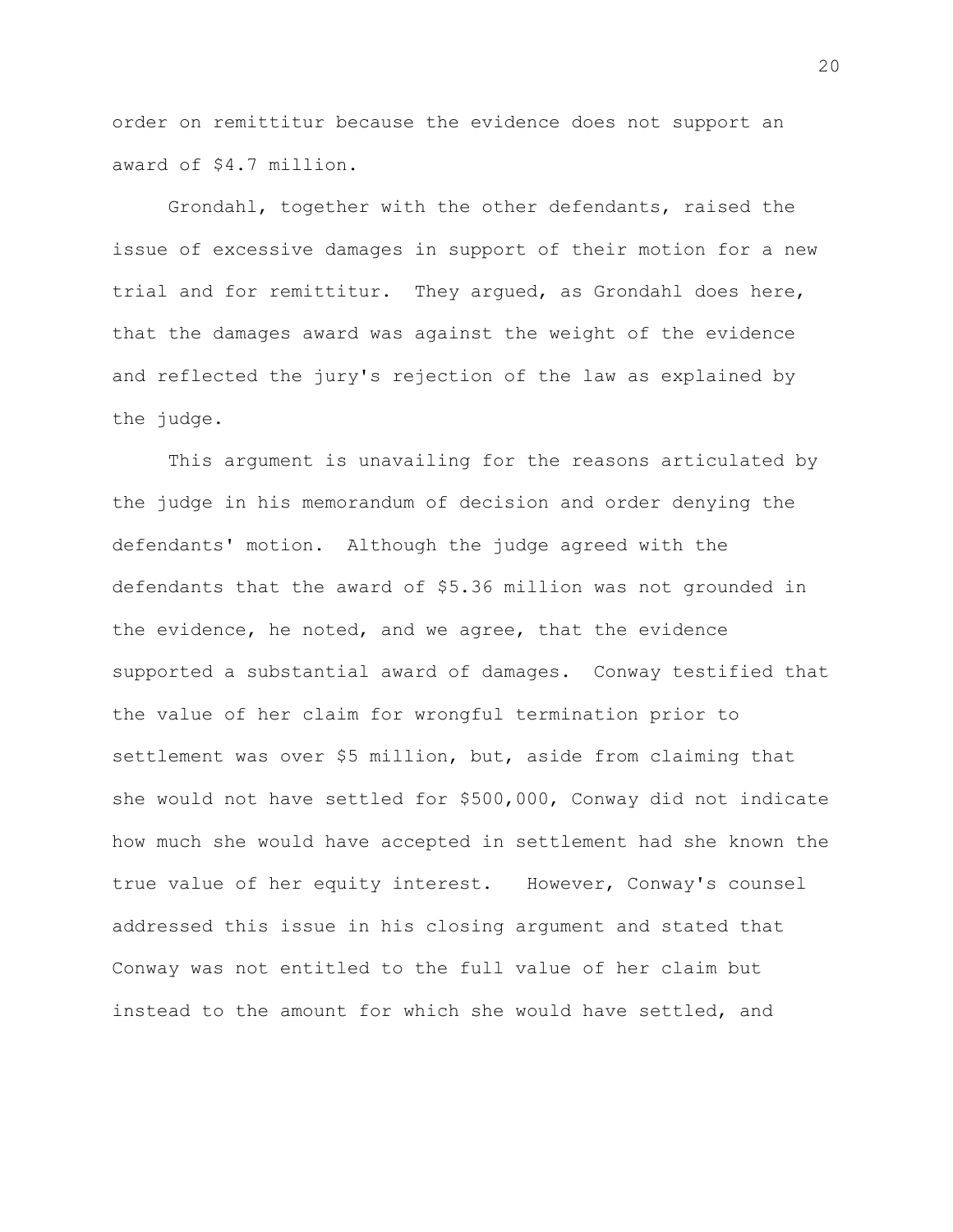order on remittitur because the evidence does not support an award of \$4.7 million.

Grondahl, together with the other defendants, raised the issue of excessive damages in support of their motion for a new trial and for remittitur. They argued, as Grondahl does here, that the damages award was against the weight of the evidence and reflected the jury's rejection of the law as explained by the judge.

This argument is unavailing for the reasons articulated by the judge in his memorandum of decision and order denying the defendants' motion. Although the judge agreed with the defendants that the award of \$5.36 million was not grounded in the evidence, he noted, and we agree, that the evidence supported a substantial award of damages. Conway testified that the value of her claim for wrongful termination prior to settlement was over \$5 million, but, aside from claiming that she would not have settled for \$500,000, Conway did not indicate how much she would have accepted in settlement had she known the true value of her equity interest. However, Conway's counsel addressed this issue in his closing argument and stated that Conway was not entitled to the full value of her claim but instead to the amount for which she would have settled, and

20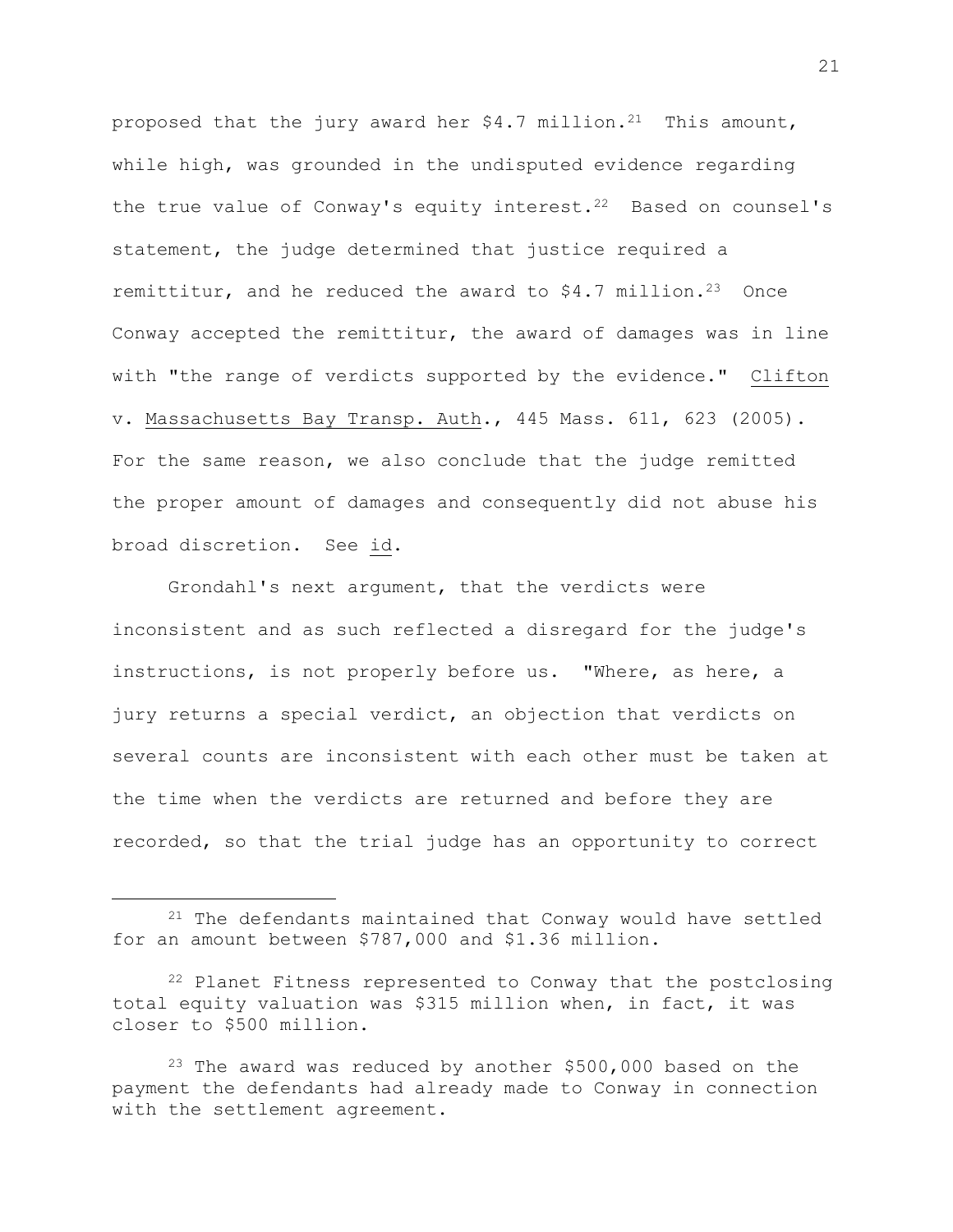proposed that the jury award her  $$4.7$  million.<sup>21</sup> This amount, while high, was grounded in the undisputed evidence regarding the true value of Conway's equity interest.<sup>22</sup> Based on counsel's statement, the judge determined that justice required a remittitur, and he reduced the award to  $$4.7$  million.<sup>23</sup> Once Conway accepted the remittitur, the award of damages was in line with "the range of verdicts supported by the evidence." Clifton v. Massachusetts Bay Transp. Auth., 445 Mass. 611, 623 (2005). For the same reason, we also conclude that the judge remitted the proper amount of damages and consequently did not abuse his broad discretion. See id.

Grondahl's next argument, that the verdicts were inconsistent and as such reflected a disregard for the judge's instructions, is not properly before us. "Where, as here, a jury returns a special verdict, an objection that verdicts on several counts are inconsistent with each other must be taken at the time when the verdicts are returned and before they are recorded, so that the trial judge has an opportunity to correct

<sup>&</sup>lt;sup>21</sup> The defendants maintained that Conway would have settled for an amount between \$787,000 and \$1.36 million.

<sup>&</sup>lt;sup>22</sup> Planet Fitness represented to Conway that the postclosing total equity valuation was \$315 million when, in fact, it was closer to \$500 million.

<sup>&</sup>lt;sup>23</sup> The award was reduced by another  $$500,000$  based on the payment the defendants had already made to Conway in connection with the settlement agreement.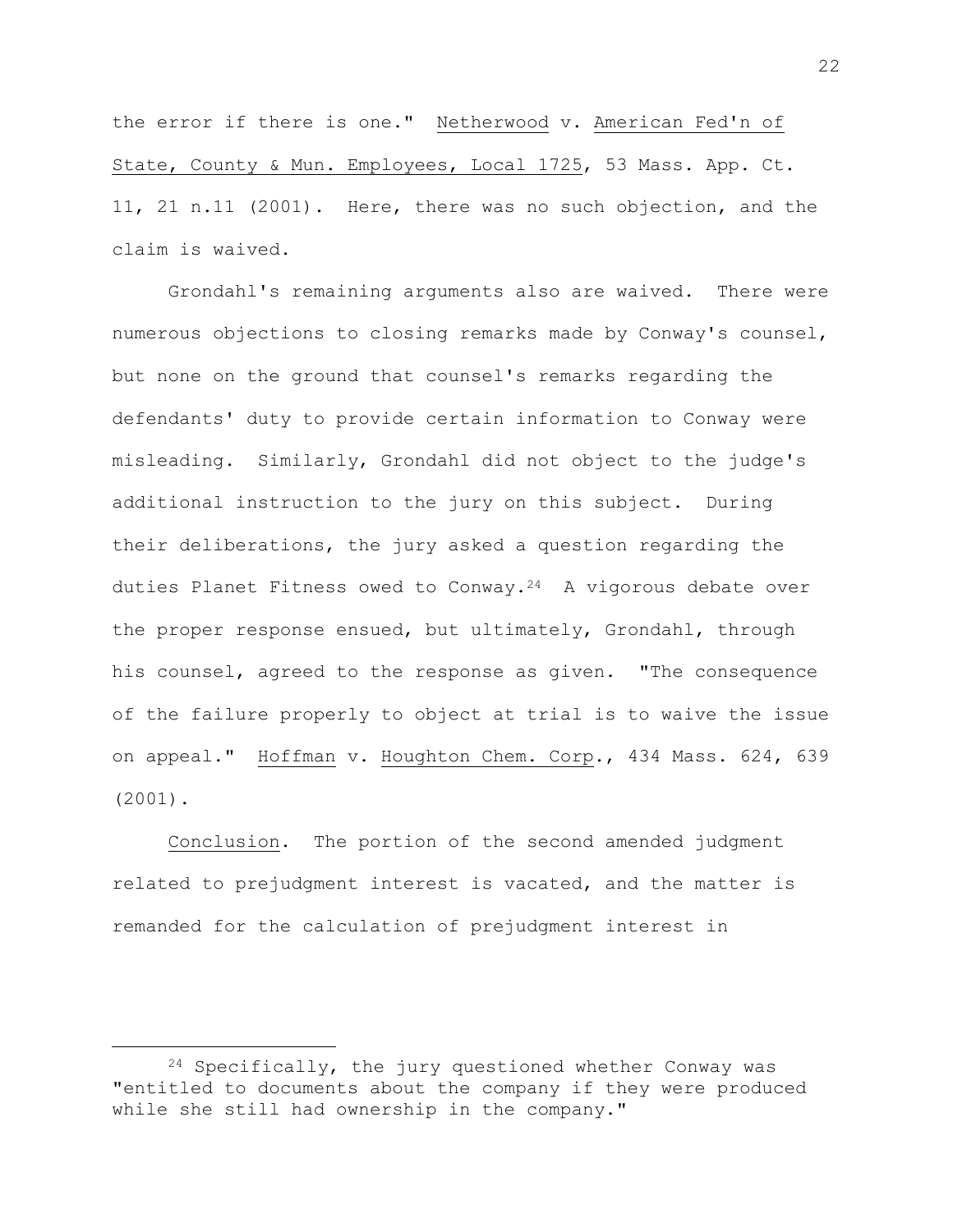the error if there is one." Netherwood v. American Fed'n of State, County & Mun. Employees, Local 1725, 53 Mass. App. Ct. 11, 21 n.11 (2001). Here, there was no such objection, and the claim is waived.

Grondahl's remaining arguments also are waived. There were numerous objections to closing remarks made by Conway's counsel, but none on the ground that counsel's remarks regarding the defendants' duty to provide certain information to Conway were misleading. Similarly, Grondahl did not object to the judge's additional instruction to the jury on this subject. During their deliberations, the jury asked a question regarding the duties Planet Fitness owed to Conway. $2^4$  A vigorous debate over the proper response ensued, but ultimately, Grondahl, through his counsel, agreed to the response as given. "The consequence of the failure properly to object at trial is to waive the issue on appeal." Hoffman v. Houghton Chem. Corp., 434 Mass. 624, 639 (2001).

Conclusion. The portion of the second amended judgment related to prejudgment interest is vacated, and the matter is remanded for the calculation of prejudgment interest in

<sup>24</sup> Specifically, the jury questioned whether Conway was "entitled to documents about the company if they were produced while she still had ownership in the company."